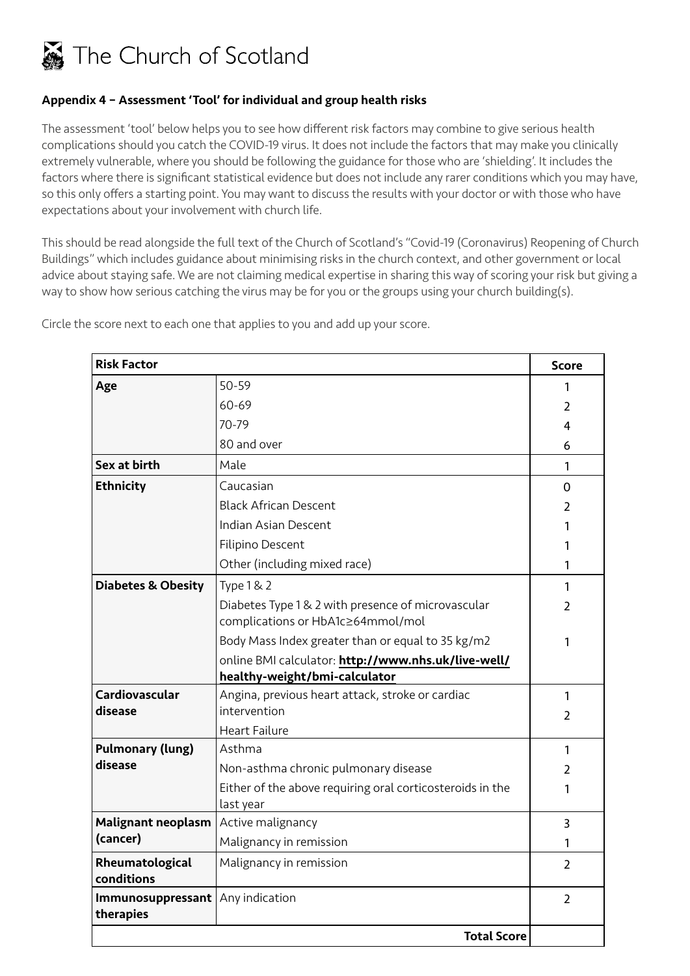

## Appendix 4 – Assessment 'Tool' for individual and group health risks

The assessment 'tool' below helps you to see how different risk factors may combine to give serious health complications should you catch the COVID-19 virus. It does not include the factors that may make you clinically extremely vulnerable, where you should be following the guidance for those who are 'shielding'. It includes the factors where there is significant statistical evidence but does not include any rarer conditions which you may have, so this only offers a starting point. You may want to discuss the results with your doctor or with those who have expectations about your involvement with church life.

This should be read alongside the full text of the Church of Scotland's "Covid-19 (Coronavirus) Reopening of Church Buildings" which includes guidance about minimising risks in the church context, and other government or local advice about staying safe. We are not claiming medical expertise in sharing this way of scoring your risk but giving a way to show how serious catching the virus may be for you or the groups using your church building(s).

| <b>Risk Factor</b>             |                                                                                         | <b>Score</b>   |  |
|--------------------------------|-----------------------------------------------------------------------------------------|----------------|--|
| Age                            | 50-59                                                                                   | 1              |  |
|                                | 60-69                                                                                   | 2              |  |
|                                | $70 - 79$                                                                               | 4              |  |
|                                | 80 and over                                                                             | 6              |  |
| Sex at birth                   | Male                                                                                    | 1              |  |
| <b>Ethnicity</b>               | Caucasian                                                                               | 0              |  |
|                                | <b>Black African Descent</b>                                                            | $\overline{2}$ |  |
|                                | Indian Asian Descent                                                                    | 1              |  |
|                                | Filipino Descent                                                                        | 1              |  |
|                                | Other (including mixed race)                                                            | 1              |  |
| <b>Diabetes &amp; Obesity</b>  | <b>Type 1 &amp; 2</b>                                                                   | 1              |  |
|                                | Diabetes Type 1 & 2 with presence of microvascular<br>complications or HbA1c≥64mmol/mol | $\overline{2}$ |  |
|                                | Body Mass Index greater than or equal to 35 kg/m2                                       | 1              |  |
|                                | online BMI calculator: http://www.nhs.uk/live-well/<br>healthy-weight/bmi-calculator    |                |  |
| Cardiovascular                 | Angina, previous heart attack, stroke or cardiac                                        | 1              |  |
| disease                        | intervention                                                                            | $\overline{2}$ |  |
|                                | <b>Heart Failure</b>                                                                    |                |  |
| <b>Pulmonary (lung)</b>        | Asthma                                                                                  | 1              |  |
| disease                        | Non-asthma chronic pulmonary disease                                                    | 2              |  |
|                                | Either of the above requiring oral corticosteroids in the<br>last year                  | 1              |  |
| <b>Malignant neoplasm</b>      | Active malignancy                                                                       | 3              |  |
| (cancer)                       | Malignancy in remission                                                                 | 1              |  |
| Rheumatological<br>conditions  | Malignancy in remission                                                                 | $\overline{2}$ |  |
| Immunosuppressant<br>therapies | Any indication                                                                          | $\overline{2}$ |  |
|                                | <b>Total Score</b>                                                                      |                |  |

Circle the score next to each one that applies to you and add up your score.